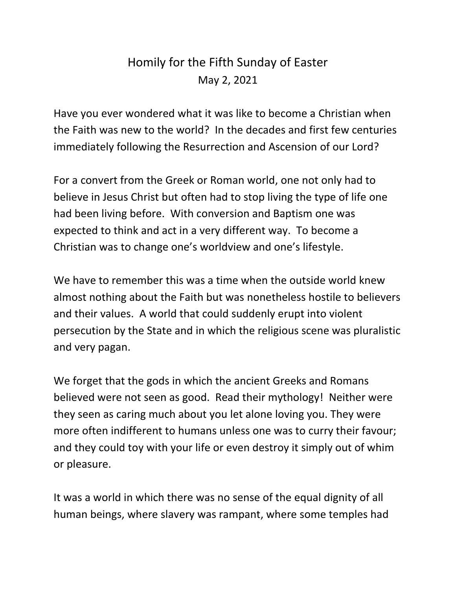## Homily for the Fifth Sunday of Easter May 2, 2021

Have you ever wondered what it was like to become a Christian when the Faith was new to the world? In the decades and first few centuries immediately following the Resurrection and Ascension of our Lord?

For a convert from the Greek or Roman world, one not only had to believe in Jesus Christ but often had to stop living the type of life one had been living before. With conversion and Baptism one was expected to think and act in a very different way. To become a Christian was to change one's worldview and one's lifestyle.

We have to remember this was a time when the outside world knew almost nothing about the Faith but was nonetheless hostile to believers and their values. A world that could suddenly erupt into violent persecution by the State and in which the religious scene was pluralistic and very pagan.

We forget that the gods in which the ancient Greeks and Romans believed were not seen as good. Read their mythology! Neither were they seen as caring much about you let alone loving you. They were more often indifferent to humans unless one was to curry their favour; and they could toy with your life or even destroy it simply out of whim or pleasure.

It was a world in which there was no sense of the equal dignity of all human beings, where slavery was rampant, where some temples had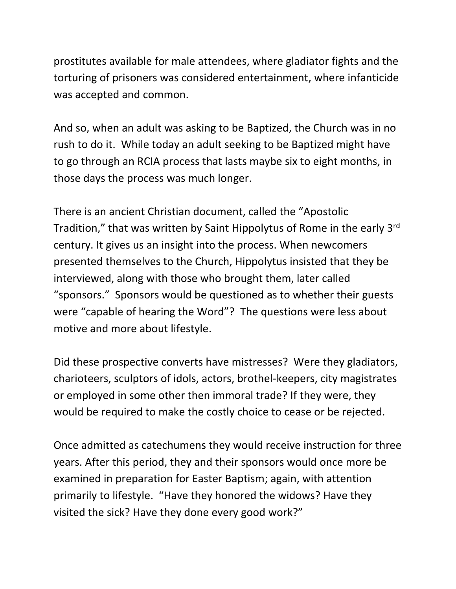prostitutes available for male attendees, where gladiator fights and the torturing of prisoners was considered entertainment, where infanticide was accepted and common.

And so, when an adult was asking to be Baptized, the Church was in no rush to do it. While today an adult seeking to be Baptized might have to go through an RCIA process that lasts maybe six to eight months, in those days the process was much longer.

There is an ancient Christian document, called the "Apostolic Tradition," that was written by Saint Hippolytus of Rome in the early 3rd century. It gives us an insight into the process. When newcomers presented themselves to the Church, Hippolytus insisted that they be interviewed, along with those who brought them, later called "sponsors." Sponsors would be questioned as to whether their guests were "capable of hearing the Word"? The questions were less about motive and more about lifestyle.

Did these prospective converts have mistresses? Were they gladiators, charioteers, sculptors of idols, actors, brothel-keepers, city magistrates or employed in some other then immoral trade? If they were, they would be required to make the costly choice to cease or be rejected.

Once admitted as catechumens they would receive instruction for three years. After this period, they and their sponsors would once more be examined in preparation for Easter Baptism; again, with attention primarily to lifestyle. "Have they honored the widows? Have they visited the sick? Have they done every good work?"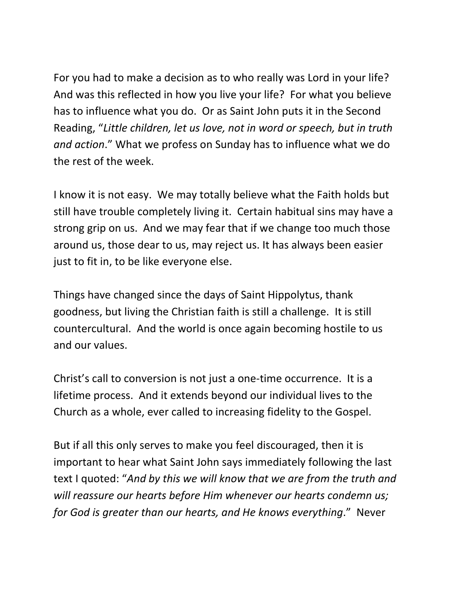For you had to make a decision as to who really was Lord in your life? And was this reflected in how you live your life? For what you believe has to influence what you do. Or as Saint John puts it in the Second Reading, "*Little children, let us love, not in word or speech, but in truth and action*." What we profess on Sunday has to influence what we do the rest of the week.

I know it is not easy. We may totally believe what the Faith holds but still have trouble completely living it. Certain habitual sins may have a strong grip on us. And we may fear that if we change too much those around us, those dear to us, may reject us. It has always been easier just to fit in, to be like everyone else.

Things have changed since the days of Saint Hippolytus, thank goodness, but living the Christian faith is still a challenge. It is still countercultural. And the world is once again becoming hostile to us and our values.

Christ's call to conversion is not just a one-time occurrence. It is a lifetime process. And it extends beyond our individual lives to the Church as a whole, ever called to increasing fidelity to the Gospel.

But if all this only serves to make you feel discouraged, then it is important to hear what Saint John says immediately following the last text I quoted: "*And by this we will know that we are from the truth and will reassure our hearts before Him whenever our hearts condemn us; for God is greater than our hearts, and He knows everything*." Never